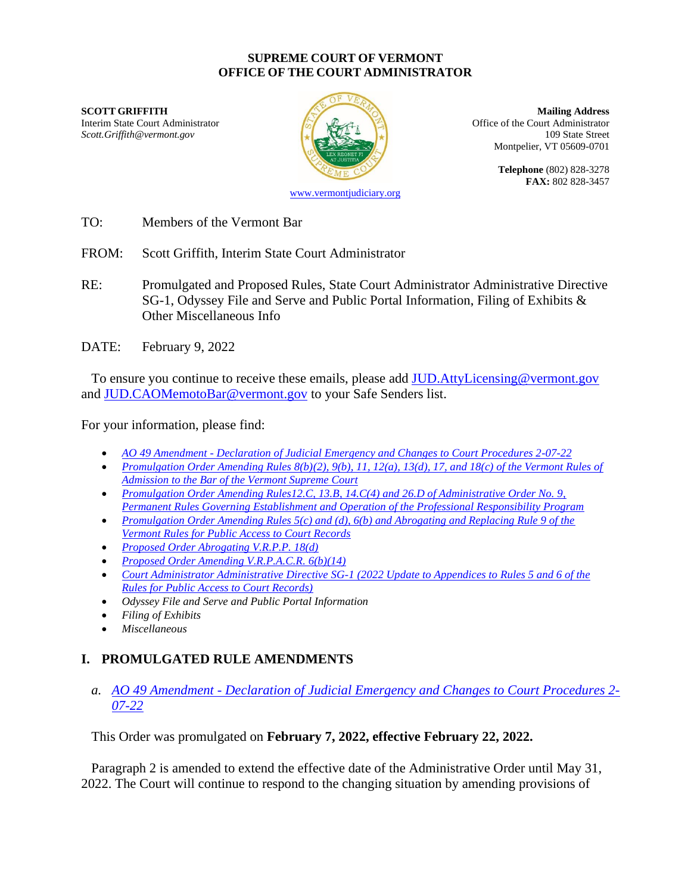#### **SUPREME COURT OF VERMONT OFFICE OF THE COURT ADMINISTRATOR**

**SCOTT GRIFFITH Mailing Address** Interim State Court Administrator **Interior Court Administrator** Office of the Court Administrator *Scott.Griffith@vermont.gov* 109 State Street



Montpelier, VT 05609-0701

**Telephone** (802) 828-3278 **FAX:** 802 828-3457

- TO: Members of the Vermont Bar
- FROM: Scott Griffith, Interim State Court Administrator
- RE: Promulgated and Proposed Rules, State Court Administrator Administrative Directive SG-1, Odyssey File and Serve and Public Portal Information, Filing of Exhibits & Other Miscellaneous Info
- DATE: February 9, 2022

To ensure you continue to receive these emails, please add JUD. AttyLicensing@vermont.gov and [JUD.CAOMemotoBar@vermont.gov](mailto:JUD.CAOMemotoBar@vermont.gov) to your Safe Senders list.

For your information, please find:

- *AO 49 Amendment - [Declaration of Judicial Emergency and Changes to Court Procedures 2-07-22](https://www.vermontjudiciary.org/sites/default/files/documents/PROMULGATEDAO%2049%20%20-%20Declaration%20of%20Judicial%20Emergency%20and%20Changes%20to%20Court%20Procedures%20-%202-7-22--STAMPED.pdf)*
- *[Promulgation Order Amending Rules 8\(b\)\(2\), 9\(b\), 11, 12\(a\), 13\(d\), 17, and 18\(c\) of the Vermont Rules of](https://www.vermontjudiciary.org/sites/default/files/documents/PROMULGATEDRules%20of%20Admission%20to%20Bar%208%28b%29%282%29%209%28b%29%2011%2012%28a%29%2013%28d%29%2017%20and%2018%28c%29--STAMPED_0.pdf)  [Admission to the Bar of the Vermont Supreme Court](https://www.vermontjudiciary.org/sites/default/files/documents/PROMULGATEDRules%20of%20Admission%20to%20Bar%208%28b%29%282%29%209%28b%29%2011%2012%28a%29%2013%28d%29%2017%20and%2018%28c%29--STAMPED_0.pdf)*
- *[Promulgation Order Amending Rules12.C, 13.B, 14.C\(4\) and 26.D of Administrative Order No. 9,](https://www.vermontjudiciary.org/sites/default/files/documents/PROMULGATED%20AO9%20Rules%2012.C%2013.B%2014.C%284%29%20and%2026.D--STAMPED.pdf)  [Permanent Rules Governing Establishment and Operation of the Professional Responsibility Program](https://www.vermontjudiciary.org/sites/default/files/documents/PROMULGATED%20AO9%20Rules%2012.C%2013.B%2014.C%284%29%20and%2026.D--STAMPED.pdf)*
- *[Promulgation Order Amending Rules 5\(c\) and \(d\), 6\(b\) and Abrogating and Replacing Rule 9 of the](https://www.vermontjudiciary.org/sites/default/files/documents/PROMULGATEDVRPACR%205%28c-d%29%206%28b%29%20and%20Replacing%209--STAMPED.pdf)  [Vermont Rules for Public Access to Court Records](https://www.vermontjudiciary.org/sites/default/files/documents/PROMULGATEDVRPACR%205%28c-d%29%206%28b%29%20and%20Replacing%209--STAMPED.pdf)*
- *[Proposed Order Abrogating V.R.P.P. 18\(d\)](https://www.vermontjudiciary.org/sites/default/files/documents/PROPOSEDAbrogatingVRPP18%28d%29--FOR%20COMMENT.pdf)*
- *[Proposed Order Amending V.R.P.A.C.R. 6\(b\)\(14\)](https://www.vermontjudiciary.org/sites/default/files/documents/PROPOSED%20VRPACR%206%28b%29%2814%29--FOR%20COMMENT.pdf)*
- *[Court Administrator Administrative Directive SG-1 \(2022 Update to Appendices to Rules 5 and 6 of the](https://www.vermontjudiciary.org/sites/default/files/documents/Court%20Administrator%20Administrative%20Directive%20SG-1%20%282022%20Update%20to%20Appendices%20to%20Rules%205%20and%206%20of%20the%20Rules%20for%20Public%20Access_1.pdf)  [Rules for Public Access to Court Records\)](https://www.vermontjudiciary.org/sites/default/files/documents/Court%20Administrator%20Administrative%20Directive%20SG-1%20%282022%20Update%20to%20Appendices%20to%20Rules%205%20and%206%20of%20the%20Rules%20for%20Public%20Access_1.pdf)*
- *Odyssey File and Serve and Public Portal Information*
- *Filing of Exhibits*
- *Miscellaneous*

# **I. PROMULGATED RULE AMENDMENTS**

#### *a. AO 49 Amendment - [Declaration of Judicial Emergency and Changes to Court Procedures 2-](https://www.vermontjudiciary.org/sites/default/files/documents/PROMULGATEDAO%2049%20%20-%20Declaration%20of%20Judicial%20Emergency%20and%20Changes%20to%20Court%20Procedures%20-%202-7-22--STAMPED.pdf) [07-22](https://www.vermontjudiciary.org/sites/default/files/documents/PROMULGATEDAO%2049%20%20-%20Declaration%20of%20Judicial%20Emergency%20and%20Changes%20to%20Court%20Procedures%20-%202-7-22--STAMPED.pdf)*

This Order was promulgated on **February 7, 2022, effective February 22, 2022.**

Paragraph 2 is amended to extend the effective date of the Administrative Order until May 31, 2022. The Court will continue to respond to the changing situation by amending provisions of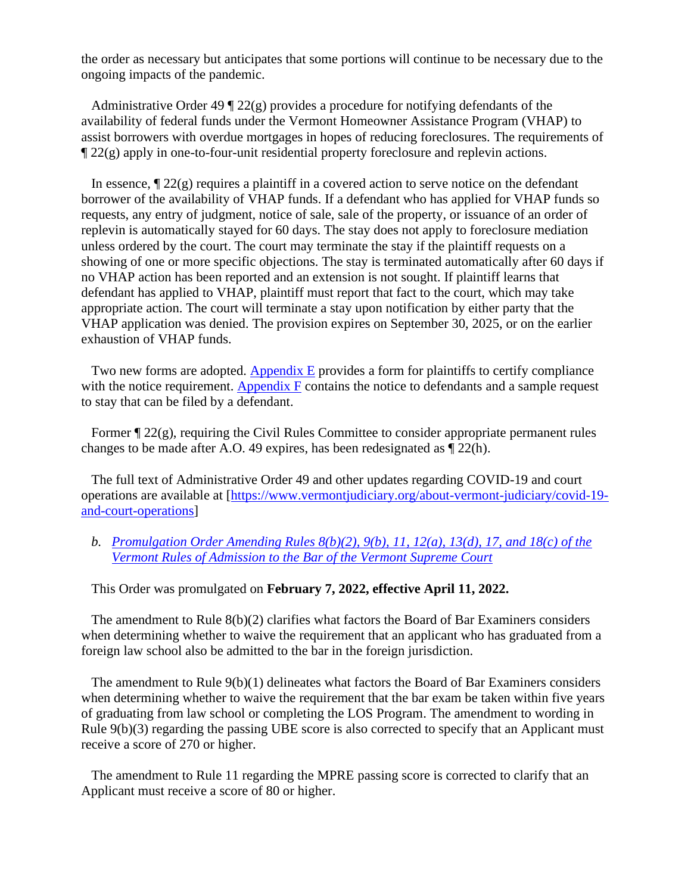the order as necessary but anticipates that some portions will continue to be necessary due to the ongoing impacts of the pandemic.

Administrative Order 49  $\sqrt{22(g)}$  provides a procedure for notifying defendants of the availability of federal funds under the Vermont Homeowner Assistance Program (VHAP) to assist borrowers with overdue mortgages in hopes of reducing foreclosures. The requirements of ¶ 22(g) apply in one-to-four-unit residential property foreclosure and replevin actions.

In essence,  $\sqrt{22(g)}$  requires a plaintiff in a covered action to serve notice on the defendant borrower of the availability of VHAP funds. If a defendant who has applied for VHAP funds so requests, any entry of judgment, notice of sale, sale of the property, or issuance of an order of replevin is automatically stayed for 60 days. The stay does not apply to foreclosure mediation unless ordered by the court. The court may terminate the stay if the plaintiff requests on a showing of one or more specific objections. The stay is terminated automatically after 60 days if no VHAP action has been reported and an extension is not sought. If plaintiff learns that defendant has applied to VHAP, plaintiff must report that fact to the court, which may take appropriate action. The court will terminate a stay upon notification by either party that the VHAP application was denied. The provision expires on September 30, 2025, or on the earlier exhaustion of VHAP funds.

Two new forms are adopted.  $\Delta$ ppendix  $E$  provides a form for plaintiffs to certify compliance with the notice requirement. [Appendix F](https://www.vermontjudiciary.org/sites/default/files/documents/APPENDIX-F-Notice-to-Homeowner-re_VHAP.pdf) contains the notice to defendants and a sample request to stay that can be filed by a defendant.

Former  $\P$  22(g), requiring the Civil Rules Committee to consider appropriate permanent rules changes to be made after A.O. 49 expires, has been redesignated as ¶ 22(h).

The full text of Administrative Order 49 and other updates regarding COVID-19 and court operations are available at [\[https://www.vermontjudiciary.org/about-vermont-judiciary/covid-19](https://www.vermontjudiciary.org/about-vermont-judiciary/covid-19-and-court-operations) [and-court-operations\]](https://www.vermontjudiciary.org/about-vermont-judiciary/covid-19-and-court-operations)

#### *b. [Promulgation Order Amending Rules 8\(b\)\(2\), 9\(b\), 11, 12\(a\), 13\(d\), 17, and 18\(c\) of the](https://www.vermontjudiciary.org/sites/default/files/documents/PROMULGATEDRules%20of%20Admission%20to%20Bar%208%28b%29%282%29%209%28b%29%2011%2012%28a%29%2013%28d%29%2017%20and%2018%28c%29--STAMPED_0.pdf)  [Vermont Rules of Admission to the Bar of the Vermont Supreme Court](https://www.vermontjudiciary.org/sites/default/files/documents/PROMULGATEDRules%20of%20Admission%20to%20Bar%208%28b%29%282%29%209%28b%29%2011%2012%28a%29%2013%28d%29%2017%20and%2018%28c%29--STAMPED_0.pdf)*

#### This Order was promulgated on **February 7, 2022, effective April 11, 2022.**

The amendment to Rule  $8(b)(2)$  clarifies what factors the Board of Bar Examiners considers when determining whether to waive the requirement that an applicant who has graduated from a foreign law school also be admitted to the bar in the foreign jurisdiction.

The amendment to Rule 9(b)(1) delineates what factors the Board of Bar Examiners considers when determining whether to waive the requirement that the bar exam be taken within five years of graduating from law school or completing the LOS Program. The amendment to wording in Rule 9(b)(3) regarding the passing UBE score is also corrected to specify that an Applicant must receive a score of 270 or higher.

The amendment to Rule 11 regarding the MPRE passing score is corrected to clarify that an Applicant must receive a score of 80 or higher.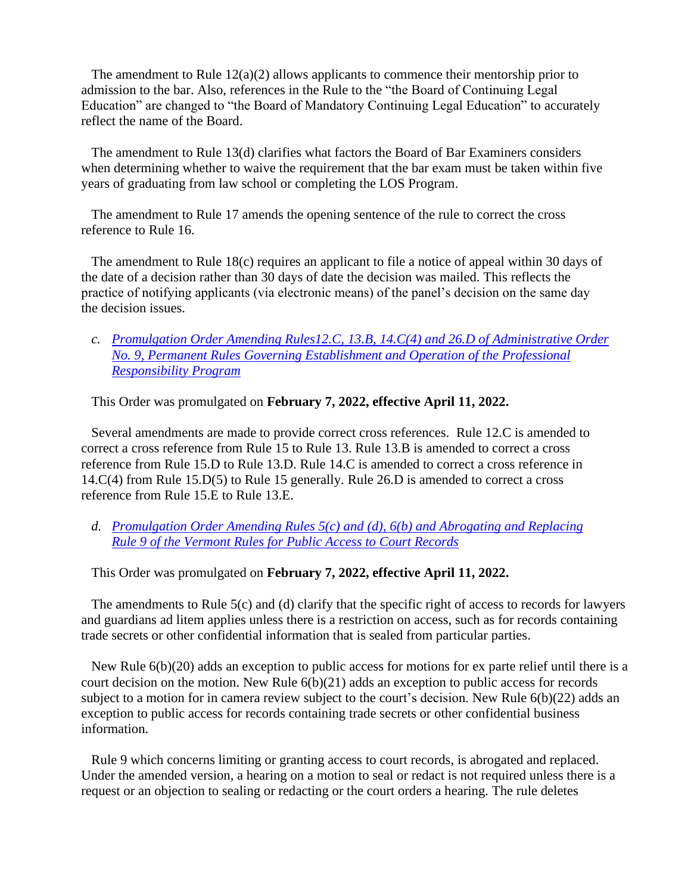The amendment to Rule  $12(a)(2)$  allows applicants to commence their mentorship prior to admission to the bar. Also, references in the Rule to the "the Board of Continuing Legal Education" are changed to "the Board of Mandatory Continuing Legal Education" to accurately reflect the name of the Board.

The amendment to Rule 13(d) clarifies what factors the Board of Bar Examiners considers when determining whether to waive the requirement that the bar exam must be taken within five years of graduating from law school or completing the LOS Program.

The amendment to Rule 17 amends the opening sentence of the rule to correct the cross reference to Rule 16.

The amendment to Rule 18(c) requires an applicant to file a notice of appeal within 30 days of the date of a decision rather than 30 days of date the decision was mailed. This reflects the practice of notifying applicants (via electronic means) of the panel's decision on the same day the decision issues.

*c. [Promulgation Order Amending Rules12.C, 13.B, 14.C\(4\) and 26.D of Administrative Order](https://www.vermontjudiciary.org/sites/default/files/documents/PROMULGATED%20AO9%20Rules%2012.C%2013.B%2014.C%284%29%20and%2026.D--STAMPED.pdf)  [No. 9, Permanent Rules Governing Establishment and Operation of the Professional](https://www.vermontjudiciary.org/sites/default/files/documents/PROMULGATED%20AO9%20Rules%2012.C%2013.B%2014.C%284%29%20and%2026.D--STAMPED.pdf)  [Responsibility Program](https://www.vermontjudiciary.org/sites/default/files/documents/PROMULGATED%20AO9%20Rules%2012.C%2013.B%2014.C%284%29%20and%2026.D--STAMPED.pdf)*

This Order was promulgated on **February 7, 2022, effective April 11, 2022.**

Several amendments are made to provide correct cross references. Rule 12.C is amended to correct a cross reference from Rule 15 to Rule 13. Rule 13.B is amended to correct a cross reference from Rule 15.D to Rule 13.D. Rule 14.C is amended to correct a cross reference in 14.C(4) from Rule 15.D(5) to Rule 15 generally. Rule 26.D is amended to correct a cross reference from Rule 15.E to Rule 13.E.

*d. [Promulgation Order Amending Rules 5\(c\) and \(d\), 6\(b\) and Abrogating and Replacing](https://www.vermontjudiciary.org/sites/default/files/documents/PROMULGATEDVRPACR%205%28c-d%29%206%28b%29%20and%20Replacing%209--STAMPED.pdf)  [Rule 9 of the Vermont Rules for Public Access to Court Records](https://www.vermontjudiciary.org/sites/default/files/documents/PROMULGATEDVRPACR%205%28c-d%29%206%28b%29%20and%20Replacing%209--STAMPED.pdf)*

## This Order was promulgated on **February 7, 2022, effective April 11, 2022.**

The amendments to Rule 5(c) and (d) clarify that the specific right of access to records for lawyers and guardians ad litem applies unless there is a restriction on access, such as for records containing trade secrets or other confidential information that is sealed from particular parties.

New Rule 6(b)(20) adds an exception to public access for motions for ex parte relief until there is a court decision on the motion. New Rule 6(b)(21) adds an exception to public access for records subject to a motion for in camera review subject to the court's decision. New Rule 6(b)(22) adds an exception to public access for records containing trade secrets or other confidential business information.

Rule 9 which concerns limiting or granting access to court records, is abrogated and replaced. Under the amended version, a hearing on a motion to seal or redact is not required unless there is a request or an objection to sealing or redacting or the court orders a hearing. The rule deletes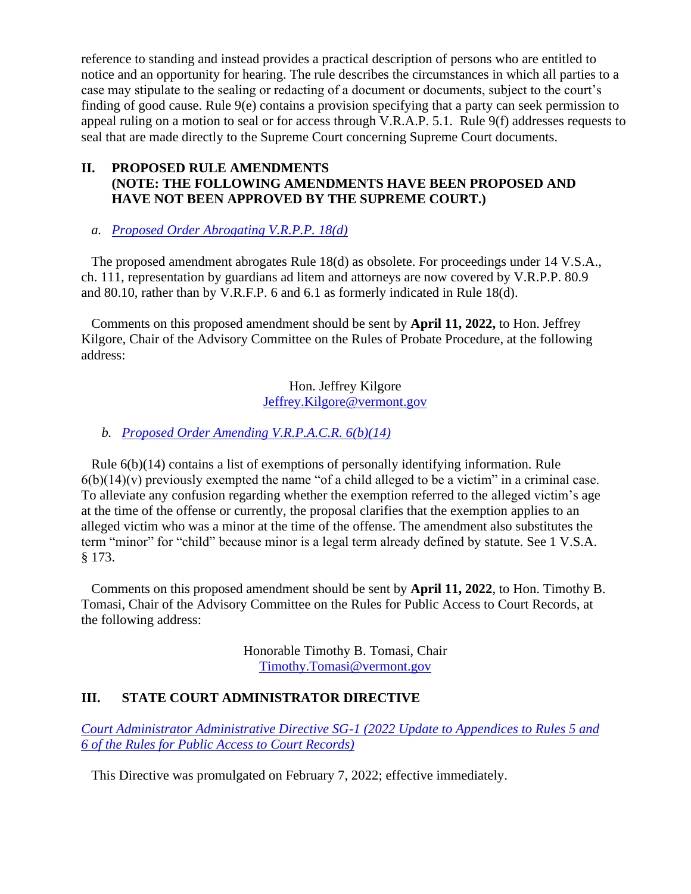reference to standing and instead provides a practical description of persons who are entitled to notice and an opportunity for hearing. The rule describes the circumstances in which all parties to a case may stipulate to the sealing or redacting of a document or documents, subject to the court's finding of good cause. Rule 9(e) contains a provision specifying that a party can seek permission to appeal ruling on a motion to seal or for access through V.R.A.P. 5.1. Rule 9(f) addresses requests to seal that are made directly to the Supreme Court concerning Supreme Court documents.

## **II. PROPOSED RULE AMENDMENTS (NOTE: THE FOLLOWING AMENDMENTS HAVE BEEN PROPOSED AND HAVE NOT BEEN APPROVED BY THE SUPREME COURT.)**

## *a. [Proposed Order Abrogating V.R.P.P. 18\(d\)](https://www.vermontjudiciary.org/sites/default/files/documents/PROPOSEDAbrogatingVRPP18%28d%29--FOR%20COMMENT.pdf)*

The proposed amendment abrogates Rule 18(d) as obsolete. For proceedings under 14 V.S.A., ch. 111, representation by guardians ad litem and attorneys are now covered by V.R.P.P. 80.9 and 80.10, rather than by V.R.F.P. 6 and 6.1 as formerly indicated in Rule 18(d).

Comments on this proposed amendment should be sent by **April 11, 2022,** to Hon. Jeffrey Kilgore, Chair of the Advisory Committee on the Rules of Probate Procedure, at the following address:

> Hon. Jeffrey Kilgore [Jeffrey.Kilgore@vermont.gov](mailto:Jeffrey.Kilgore@vermont.gov)

## *b. [Proposed Order Amending V.R.P.A.C.R. 6\(b\)\(14\)](https://www.vermontjudiciary.org/sites/default/files/documents/PROPOSED%20VRPACR%206%28b%29%2814%29--FOR%20COMMENT.pdf)*

Rule 6(b)(14) contains a list of exemptions of personally identifying information. Rule  $6(b)(14)(v)$  previously exempted the name "of a child alleged to be a victim" in a criminal case. To alleviate any confusion regarding whether the exemption referred to the alleged victim's age at the time of the offense or currently, the proposal clarifies that the exemption applies to an alleged victim who was a minor at the time of the offense. The amendment also substitutes the term "minor" for "child" because minor is a legal term already defined by statute. See 1 V.S.A. § 173.

Comments on this proposed amendment should be sent by **April 11, 2022**, to Hon. Timothy B. Tomasi, Chair of the Advisory Committee on the Rules for Public Access to Court Records, at the following address:

> Honorable Timothy B. Tomasi, Chair [Timothy.Tomasi@vermont.gov](mailto:Timothy.Tomasi@vermont.gov)

## **III. STATE COURT ADMINISTRATOR DIRECTIVE**

*[Court Administrator Administrative Directive SG-1 \(2022 Update to Appendices to Rules 5 and](https://www.vermontjudiciary.org/sites/default/files/documents/Court%20Administrator%20Administrative%20Directive%20SG-1%20%282022%20Update%20to%20Appendices%20to%20Rules%205%20and%206%20of%20the%20Rules%20for%20Public%20Access_1.pdf)  [6 of the Rules for Public Access to Court Records\)](https://www.vermontjudiciary.org/sites/default/files/documents/Court%20Administrator%20Administrative%20Directive%20SG-1%20%282022%20Update%20to%20Appendices%20to%20Rules%205%20and%206%20of%20the%20Rules%20for%20Public%20Access_1.pdf)*

This Directive was promulgated on February 7, 2022; effective immediately.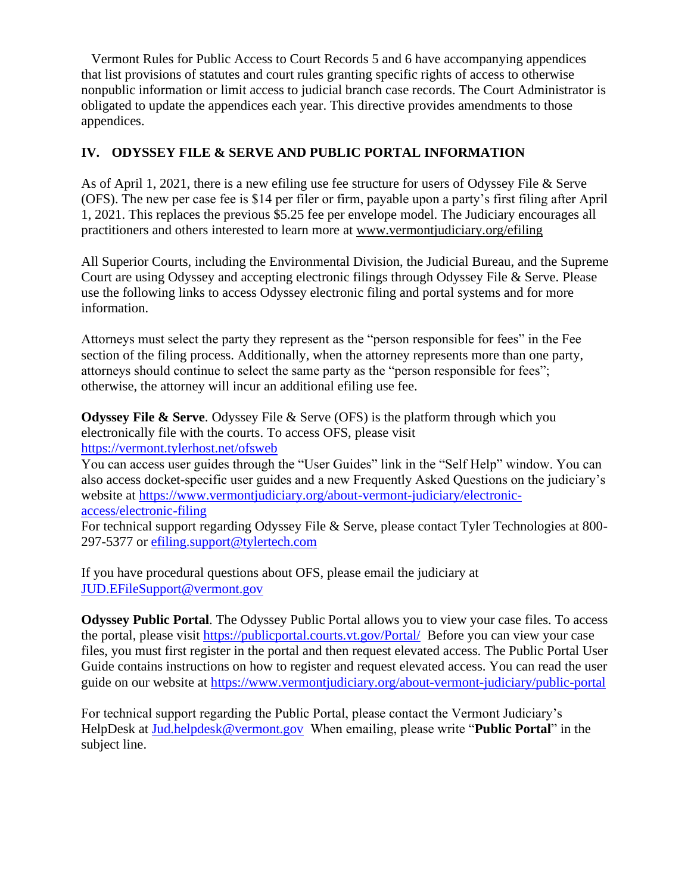Vermont Rules for Public Access to Court Records 5 and 6 have accompanying appendices that list provisions of statutes and court rules granting specific rights of access to otherwise nonpublic information or limit access to judicial branch case records. The Court Administrator is obligated to update the appendices each year. This directive provides amendments to those appendices.

## **IV. ODYSSEY FILE & SERVE AND PUBLIC PORTAL INFORMATION**

As of April 1, 2021, there is a new efiling use fee structure for users of Odyssey File & Serve (OFS). The new per case fee is \$14 per filer or firm, payable upon a party's first filing after April 1, 2021. This replaces the previous \$5.25 fee per envelope model. The Judiciary encourages all practitioners and others interested to learn more at [www.vermontjudiciary.org/efiling](https://www.vermontjudiciary.org/efiling)

All Superior Courts, including the Environmental Division, the Judicial Bureau, and the Supreme Court are using Odyssey and accepting electronic filings through Odyssey File & Serve. Please use the following links to access Odyssey electronic filing and portal systems and for more information.

Attorneys must select the party they represent as the "person responsible for fees" in the Fee section of the filing process. Additionally, when the attorney represents more than one party, attorneys should continue to select the same party as the "person responsible for fees"; otherwise, the attorney will incur an additional efiling use fee.

**Odyssey File & Serve.** Odyssey File & Serve (OFS) is the platform through which you electronically file with the courts. To access OFS, please visit <https://vermont.tylerhost.net/ofsweb>

You can access user guides through the "User Guides" link in the "Self Help" window. You can also access docket-specific user guides and a new Frequently Asked Questions on the judiciary's website at [https://www.vermontjudiciary.org/about-vermont-judiciary/electronic](https://www.vermontjudiciary.org/about-vermont-judiciary/electronic-access/electronic-filing)[access/electronic-filing](https://www.vermontjudiciary.org/about-vermont-judiciary/electronic-access/electronic-filing) 

For technical support regarding Odyssey File & Serve, please contact Tyler Technologies at 800- 297-5377 or [efiling.support@tylertech.com](mailto:efiling.support@tylertech.com)

If you have procedural questions about OFS, please email the judiciary at [JUD.EFileSupport@vermont.gov](mailto:JUD.EFileSupport@vermont.gov)

**Odyssey Public Portal**. The Odyssey Public Portal allows you to view your case files. To access the portal, please visit<https://publicportal.courts.vt.gov/Portal/> Before you can view your case files, you must first register in the portal and then request elevated access. The Public Portal User Guide contains instructions on how to register and request elevated access. You can read the user guide on our website at<https://www.vermontjudiciary.org/about-vermont-judiciary/public-portal>

For technical support regarding the Public Portal, please contact the Vermont Judiciary's HelpDesk at [Jud.helpdesk@vermont.gov](mailto:Jud.helpdesk@vermont.gov) When emailing, please write "**Public Portal**" in the subject line.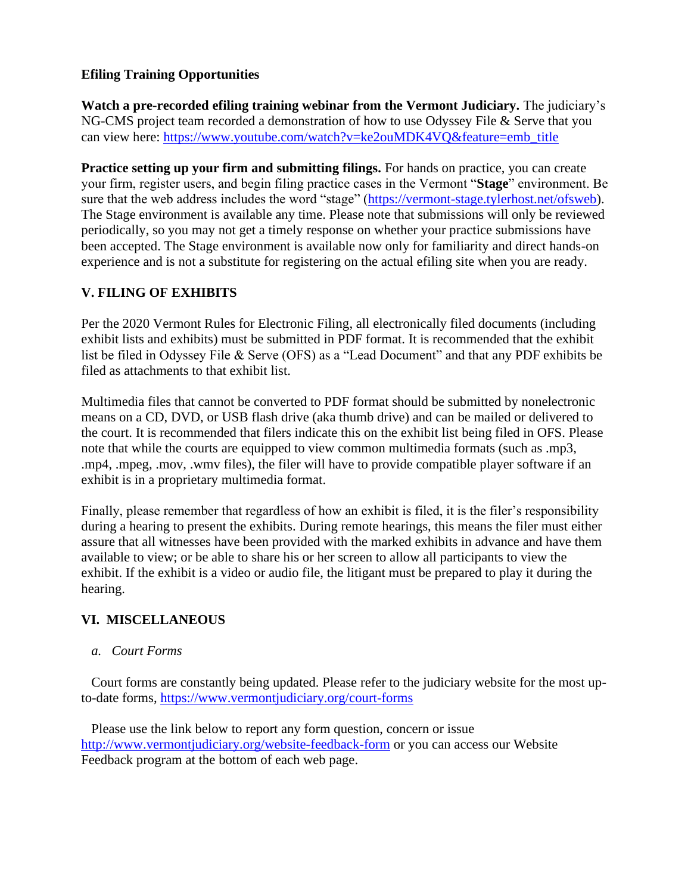## **Efiling Training Opportunities**

**Watch a pre-recorded efiling training webinar from the Vermont Judiciary.** The judiciary's NG-CMS project team recorded a demonstration of how to use Odyssey File & Serve that you can view here: [https://www.youtube.com/watch?v=ke2ouMDK4VQ&feature=emb\\_title](https://www.youtube.com/watch?v=ke2ouMDK4VQ&feature=emb_title)

**Practice setting up your firm and submitting filings.** For hands on practice, you can create your firm, register users, and begin filing practice cases in the Vermont "**Stage**" environment. Be sure that the web address includes the word "stage" [\(https://vermont-stage.tylerhost.net/ofsweb\)](https://vermont-stage.tylerhost.net/ofsweb). The Stage environment is available any time. Please note that submissions will only be reviewed periodically, so you may not get a timely response on whether your practice submissions have been accepted. The Stage environment is available now only for familiarity and direct hands-on experience and is not a substitute for registering on the actual efiling site when you are ready.

# **V. FILING OF EXHIBITS**

Per the 2020 Vermont Rules for Electronic Filing, all electronically filed documents (including exhibit lists and exhibits) must be submitted in PDF format. It is recommended that the exhibit list be filed in Odyssey File & Serve (OFS) as a "Lead Document" and that any PDF exhibits be filed as attachments to that exhibit list.

Multimedia files that cannot be converted to PDF format should be submitted by nonelectronic means on a CD, DVD, or USB flash drive (aka thumb drive) and can be mailed or delivered to the court. It is recommended that filers indicate this on the exhibit list being filed in OFS. Please note that while the courts are equipped to view common multimedia formats (such as .mp3, .mp4, .mpeg, .mov, .wmv files), the filer will have to provide compatible player software if an exhibit is in a proprietary multimedia format.

Finally, please remember that regardless of how an exhibit is filed, it is the filer's responsibility during a hearing to present the exhibits. During remote hearings, this means the filer must either assure that all witnesses have been provided with the marked exhibits in advance and have them available to view; or be able to share his or her screen to allow all participants to view the exhibit. If the exhibit is a video or audio file, the litigant must be prepared to play it during the hearing.

## **VI. MISCELLANEOUS**

#### *a. Court Forms*

Court forms are constantly being updated. Please refer to the judiciary website for the most upto-date forms,<https://www.vermontjudiciary.org/court-forms>

Please use the link below to report any form question, concern or issue <http://www.vermontjudiciary.org/website-feedback-form> or you can access our Website Feedback program at the bottom of each web page.